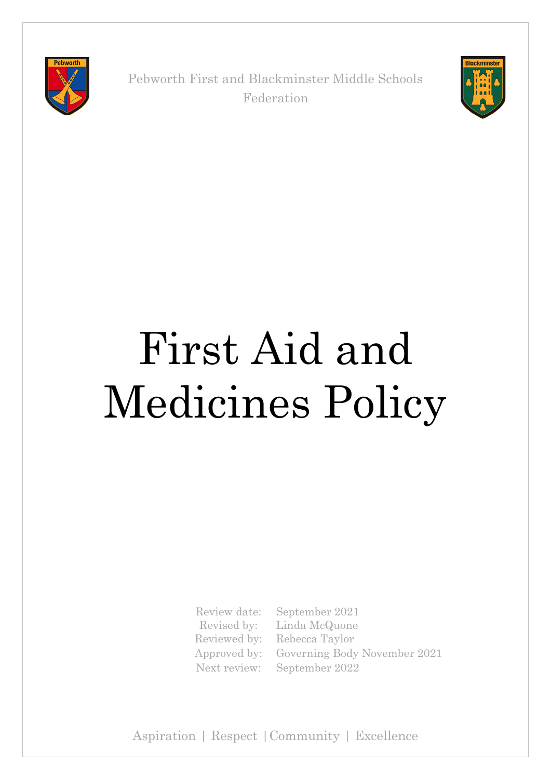

Pebworth First and Blackminster Middle Schools Federation



# First Aid and Medicines Policy

Review date: September 2021 Revised by: Linda McQuone Reviewed by: Rebecca Taylor Approved by: Governing Body November 2021 Next review: September 2022

Aspiration | Respect |Community | Excellence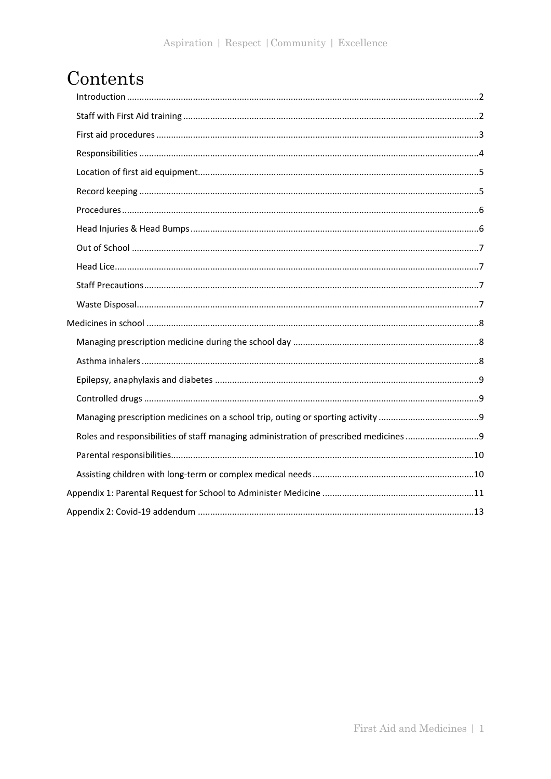# Contents

| Roles and responsibilities of staff managing administration of prescribed medicines 9 |  |
|---------------------------------------------------------------------------------------|--|
|                                                                                       |  |
|                                                                                       |  |
|                                                                                       |  |
|                                                                                       |  |
|                                                                                       |  |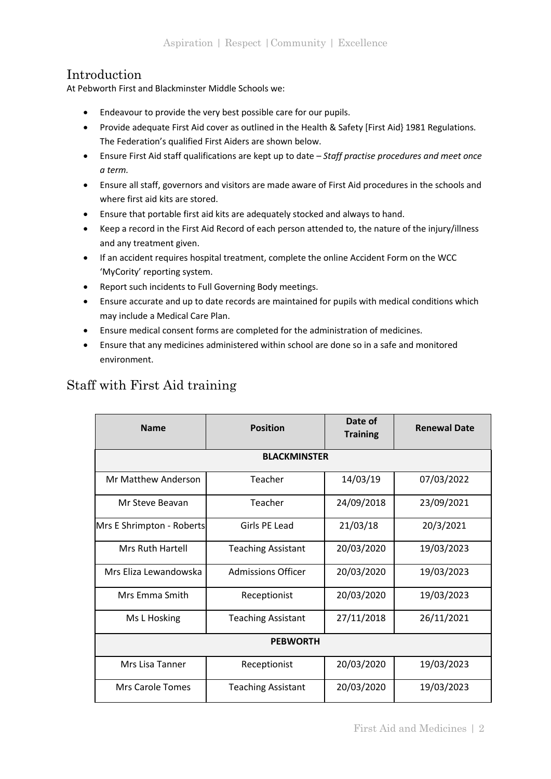# <span id="page-2-0"></span>Introduction

At Pebworth First and Blackminster Middle Schools we:

- Endeavour to provide the very best possible care for our pupils.
- Provide adequate First Aid cover as outlined in the Health & Safety [First Aid} 1981 Regulations. The Federation's qualified First Aiders are shown below.
- Ensure First Aid staff qualifications are kept up to date *Staff practise procedures and meet once a term.*
- Ensure all staff, governors and visitors are made aware of First Aid procedures in the schools and where first aid kits are stored.
- Ensure that portable first aid kits are adequately stocked and always to hand.
- Keep a record in the First Aid Record of each person attended to, the nature of the injury/illness and any treatment given.
- If an accident requires hospital treatment, complete the online Accident Form on the WCC 'MyCority' reporting system.
- Report such incidents to Full Governing Body meetings.
- Ensure accurate and up to date records are maintained for pupils with medical conditions which may include a Medical Care Plan.
- Ensure medical consent forms are completed for the administration of medicines.
- Ensure that any medicines administered within school are done so in a safe and monitored environment.

| <b>Name</b>               | <b>Position</b>           | Date of<br><b>Training</b> | <b>Renewal Date</b> |  |
|---------------------------|---------------------------|----------------------------|---------------------|--|
| <b>BLACKMINSTER</b>       |                           |                            |                     |  |
| Mr Matthew Anderson       | Teacher                   | 14/03/19                   | 07/03/2022          |  |
| Mr Steve Beavan           | Teacher                   | 24/09/2018                 | 23/09/2021          |  |
| Mrs E Shrimpton - Roberts | Girls PE Lead             | 21/03/18                   | 20/3/2021           |  |
| <b>Mrs Ruth Hartell</b>   | <b>Teaching Assistant</b> | 20/03/2020                 | 19/03/2023          |  |
| Mrs Eliza Lewandowska     | Admissions Officer        | 20/03/2020                 | 19/03/2023          |  |
| Mrs Emma Smith            | Receptionist              | 20/03/2020                 | 19/03/2023          |  |
| Ms L Hosking              | <b>Teaching Assistant</b> | 27/11/2018                 | 26/11/2021          |  |
| <b>PEBWORTH</b>           |                           |                            |                     |  |
| Mrs Lisa Tanner           | Receptionist              | 20/03/2020                 | 19/03/2023          |  |
| <b>Mrs Carole Tomes</b>   | <b>Teaching Assistant</b> | 20/03/2020                 | 19/03/2023          |  |

## <span id="page-2-1"></span>Staff with First Aid training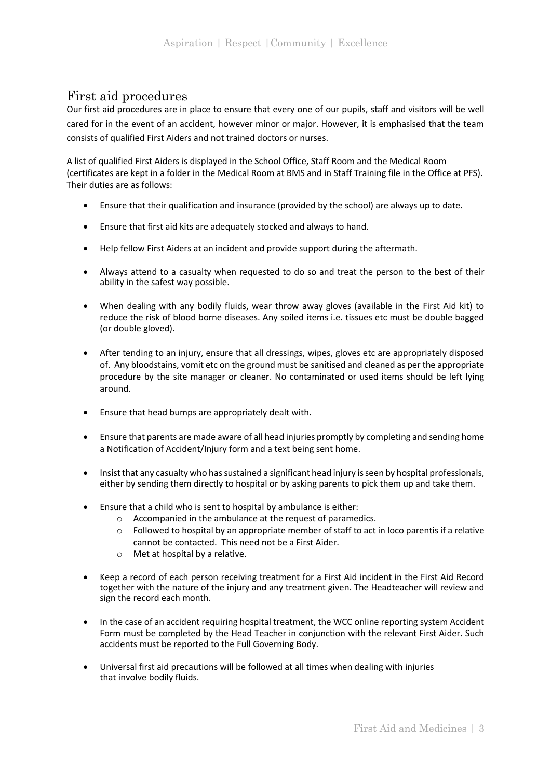#### <span id="page-3-0"></span>First aid procedures

Our first aid procedures are in place to ensure that every one of our pupils, staff and visitors will be well cared for in the event of an accident, however minor or major. However, it is emphasised that the team consists of qualified First Aiders and not trained doctors or nurses.

A list of qualified First Aiders is displayed in the School Office, Staff Room and the Medical Room (certificates are kept in a folder in the Medical Room at BMS and in Staff Training file in the Office at PFS). Their duties are as follows:

- Ensure that their qualification and insurance (provided by the school) are always up to date.
- Ensure that first aid kits are adequately stocked and always to hand.
- Help fellow First Aiders at an incident and provide support during the aftermath.
- Always attend to a casualty when requested to do so and treat the person to the best of their ability in the safest way possible.
- When dealing with any bodily fluids, wear throw away gloves (available in the First Aid kit) to reduce the risk of blood borne diseases. Any soiled items i.e. tissues etc must be double bagged (or double gloved).
- After tending to an injury, ensure that all dressings, wipes, gloves etc are appropriately disposed of. Any bloodstains, vomit etc on the ground must be sanitised and cleaned as per the appropriate procedure by the site manager or cleaner. No contaminated or used items should be left lying around.
- Ensure that head bumps are appropriately dealt with.
- Ensure that parents are made aware of all head injuries promptly by completing and sending home a Notification of Accident/Injury form and a text being sent home.
- Insist that any casualty who has sustained a significant head injury is seen by hospital professionals, either by sending them directly to hospital or by asking parents to pick them up and take them.
- Ensure that a child who is sent to hospital by ambulance is either:
	- o Accompanied in the ambulance at the request of paramedics.
	- $\circ$  Followed to hospital by an appropriate member of staff to act in loco parentis if a relative cannot be contacted. This need not be a First Aider.
	- $\circ$  Met at hospital by a relative.
- Keep a record of each person receiving treatment for a First Aid incident in the First Aid Record together with the nature of the injury and any treatment given. The Headteacher will review and sign the record each month.
- In the case of an accident requiring hospital treatment, the WCC online reporting system Accident Form must be completed by the Head Teacher in conjunction with the relevant First Aider. Such accidents must be reported to the Full Governing Body.
- Universal first aid precautions will be followed at all times when dealing with injuries that involve bodily fluids.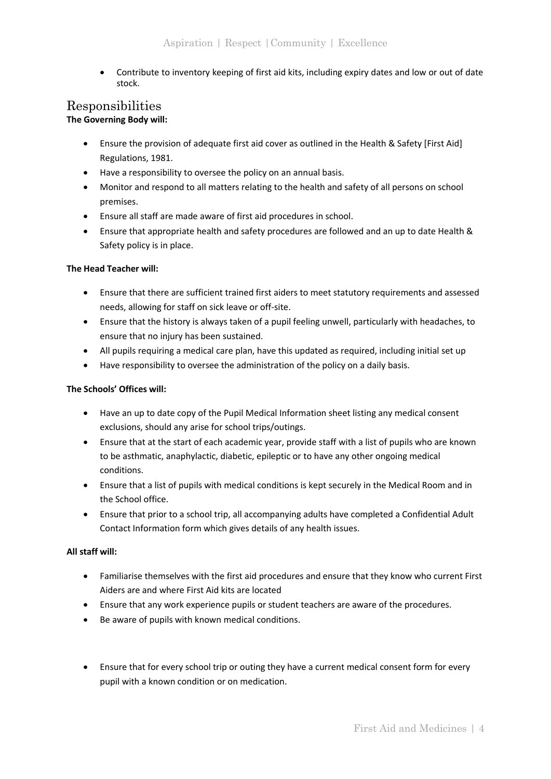• Contribute to inventory keeping of first aid kits, including expiry dates and low or out of date stock.

#### <span id="page-4-0"></span>Responsibilities **The Governing Body will:**

- Ensure the provision of adequate first aid cover as outlined in the Health & Safety [First Aid] Regulations, 1981.
- Have a responsibility to oversee the policy on an annual basis.
- Monitor and respond to all matters relating to the health and safety of all persons on school premises.
- Ensure all staff are made aware of first aid procedures in school.
- Ensure that appropriate health and safety procedures are followed and an up to date Health & Safety policy is in place.

#### **The Head Teacher will:**

- Ensure that there are sufficient trained first aiders to meet statutory requirements and assessed needs, allowing for staff on sick leave or off-site.
- Ensure that the history is always taken of a pupil feeling unwell, particularly with headaches, to ensure that no injury has been sustained.
- All pupils requiring a medical care plan, have this updated as required, including initial set up
- Have responsibility to oversee the administration of the policy on a daily basis.

#### **The Schools' Offices will:**

- Have an up to date copy of the Pupil Medical Information sheet listing any medical consent exclusions, should any arise for school trips/outings.
- Ensure that at the start of each academic year, provide staff with a list of pupils who are known to be asthmatic, anaphylactic, diabetic, epileptic or to have any other ongoing medical conditions.
- Ensure that a list of pupils with medical conditions is kept securely in the Medical Room and in the School office.
- Ensure that prior to a school trip, all accompanying adults have completed a Confidential Adult Contact Information form which gives details of any health issues.

#### **All staff will:**

- Familiarise themselves with the first aid procedures and ensure that they know who current First Aiders are and where First Aid kits are located
- Ensure that any work experience pupils or student teachers are aware of the procedures.
- Be aware of pupils with known medical conditions.
- Ensure that for every school trip or outing they have a current medical consent form for every pupil with a known condition or on medication.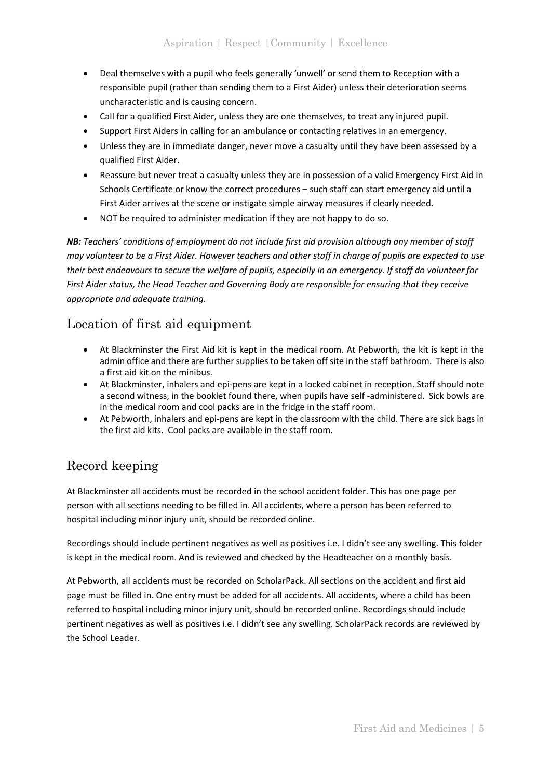- Deal themselves with a pupil who feels generally 'unwell' or send them to Reception with a responsible pupil (rather than sending them to a First Aider) unless their deterioration seems uncharacteristic and is causing concern.
- Call for a qualified First Aider, unless they are one themselves, to treat any injured pupil.
- Support First Aiders in calling for an ambulance or contacting relatives in an emergency.
- Unless they are in immediate danger, never move a casualty until they have been assessed by a qualified First Aider.
- Reassure but never treat a casualty unless they are in possession of a valid Emergency First Aid in Schools Certificate or know the correct procedures – such staff can start emergency aid until a First Aider arrives at the scene or instigate simple airway measures if clearly needed.
- NOT be required to administer medication if they are not happy to do so.

*NB: Teachers' conditions of employment do not include first aid provision although any member of staff may volunteer to be a First Aider. However teachers and other staff in charge of pupils are expected to use their best endeavours to secure the welfare of pupils, especially in an emergency. If staff do volunteer for First Aider status, the Head Teacher and Governing Body are responsible for ensuring that they receive appropriate and adequate training.*

#### <span id="page-5-0"></span>Location of first aid equipment

- At Blackminster the First Aid kit is kept in the medical room. At Pebworth, the kit is kept in the admin office and there are further supplies to be taken off site in the staff bathroom. There is also a first aid kit on the minibus.
- At Blackminster, inhalers and epi-pens are kept in a locked cabinet in reception. Staff should note a second witness, in the booklet found there, when pupils have self -administered. Sick bowls are in the medical room and cool packs are in the fridge in the staff room.
- At Pebworth, inhalers and epi-pens are kept in the classroom with the child. There are sick bags in the first aid kits. Cool packs are available in the staff room.

## <span id="page-5-1"></span>Record keeping

At Blackminster all accidents must be recorded in the school accident folder. This has one page per person with all sections needing to be filled in. All accidents, where a person has been referred to hospital including minor injury unit, should be recorded online.

Recordings should include pertinent negatives as well as positives i.e. I didn't see any swelling. This folder is kept in the medical room. And is reviewed and checked by the Headteacher on a monthly basis.

At Pebworth, all accidents must be recorded on ScholarPack. All sections on the accident and first aid page must be filled in. One entry must be added for all accidents. All accidents, where a child has been referred to hospital including minor injury unit, should be recorded online. Recordings should include pertinent negatives as well as positives i.e. I didn't see any swelling. ScholarPack records are reviewed by the School Leader.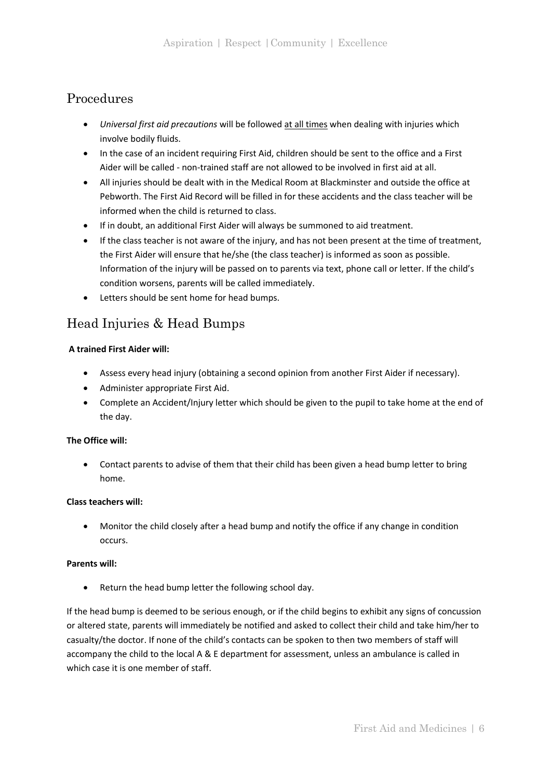## <span id="page-6-0"></span>Procedures

- *Universal first aid precautions* will be followed at all times when dealing with injuries which involve bodily fluids.
- In the case of an incident requiring First Aid, children should be sent to the office and a First Aider will be called - non-trained staff are not allowed to be involved in first aid at all.
- All injuries should be dealt with in the Medical Room at Blackminster and outside the office at Pebworth. The First Aid Record will be filled in for these accidents and the class teacher will be informed when the child is returned to class.
- If in doubt, an additional First Aider will always be summoned to aid treatment.
- If the class teacher is not aware of the injury, and has not been present at the time of treatment, the First Aider will ensure that he/she (the class teacher) is informed as soon as possible. Information of the injury will be passed on to parents via text, phone call or letter. If the child's condition worsens, parents will be called immediately.
- Letters should be sent home for head bumps.

## <span id="page-6-1"></span>Head Injuries & Head Bumps

#### **A trained First Aider will:**

- Assess every head injury (obtaining a second opinion from another First Aider if necessary).
- Administer appropriate First Aid.
- Complete an Accident/Injury letter which should be given to the pupil to take home at the end of the day.

#### **The Office will:**

• Contact parents to advise of them that their child has been given a head bump letter to bring home.

#### **Class teachers will:**

• Monitor the child closely after a head bump and notify the office if any change in condition occurs.

#### **Parents will:**

• Return the head bump letter the following school day.

If the head bump is deemed to be serious enough, or if the child begins to exhibit any signs of concussion or altered state, parents will immediately be notified and asked to collect their child and take him/her to casualty/the doctor. If none of the child's contacts can be spoken to then two members of staff will accompany the child to the local A & E department for assessment, unless an ambulance is called in which case it is one member of staff.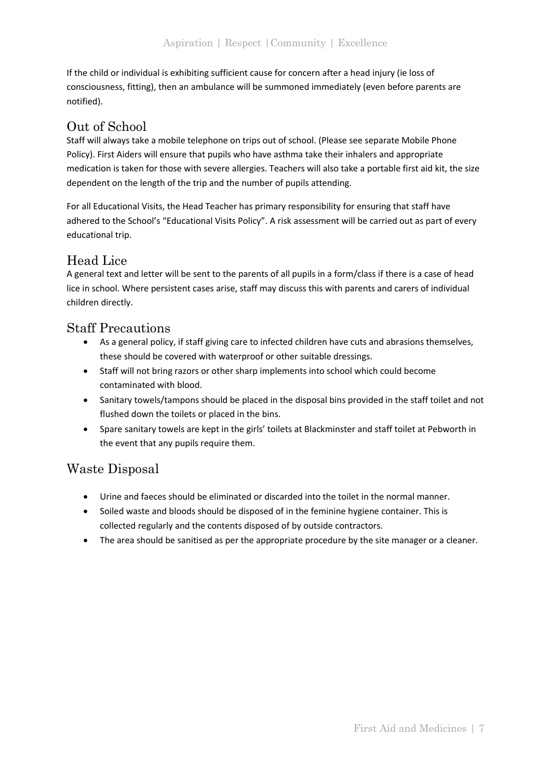If the child or individual is exhibiting sufficient cause for concern after a head injury (ie loss of consciousness, fitting), then an ambulance will be summoned immediately (even before parents are notified).

#### <span id="page-7-0"></span>Out of School

Staff will always take a mobile telephone on trips out of school. (Please see separate Mobile Phone Policy). First Aiders will ensure that pupils who have asthma take their inhalers and appropriate medication is taken for those with severe allergies. Teachers will also take a portable first aid kit, the size dependent on the length of the trip and the number of pupils attending.

For all Educational Visits, the Head Teacher has primary responsibility for ensuring that staff have adhered to the School's "Educational Visits Policy". A risk assessment will be carried out as part of every educational trip.

#### <span id="page-7-1"></span>Head Lice

A general text and letter will be sent to the parents of all pupils in a form/class if there is a case of head lice in school. Where persistent cases arise, staff may discuss this with parents and carers of individual children directly.

#### <span id="page-7-2"></span>Staff Precautions

- As a general policy, if staff giving care to infected children have cuts and abrasions themselves, these should be covered with waterproof or other suitable dressings.
- Staff will not bring razors or other sharp implements into school which could become contaminated with blood.
- Sanitary towels/tampons should be placed in the disposal bins provided in the staff toilet and not flushed down the toilets or placed in the bins.
- Spare sanitary towels are kept in the girls' toilets at Blackminster and staff toilet at Pebworth in the event that any pupils require them.

#### <span id="page-7-3"></span>Waste Disposal

- Urine and faeces should be eliminated or discarded into the toilet in the normal manner.
- Soiled waste and bloods should be disposed of in the feminine hygiene container. This is collected regularly and the contents disposed of by outside contractors.
- The area should be sanitised as per the appropriate procedure by the site manager or a cleaner.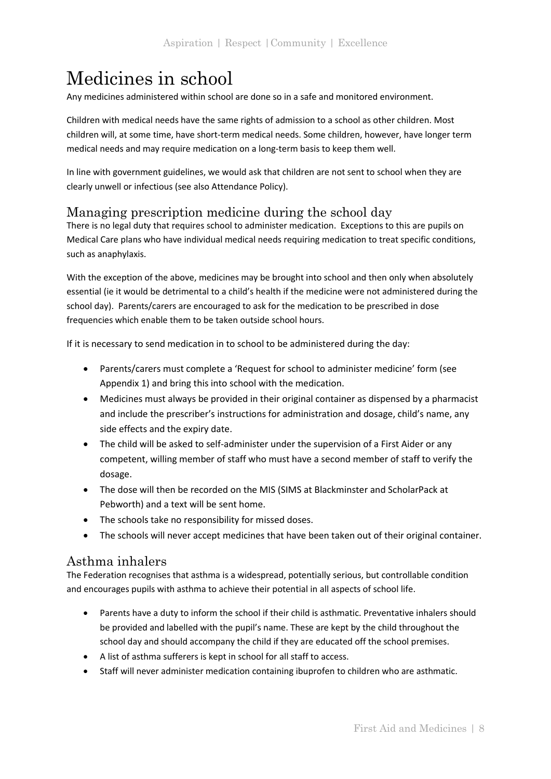# <span id="page-8-0"></span>Medicines in school

Any medicines administered within school are done so in a safe and monitored environment.

Children with medical needs have the same rights of admission to a school as other children. Most children will, at some time, have short-term medical needs. Some children, however, have longer term medical needs and may require medication on a long-term basis to keep them well.

In line with government guidelines, we would ask that children are not sent to school when they are clearly unwell or infectious (see also Attendance Policy).

#### <span id="page-8-1"></span>Managing prescription medicine during the school day

There is no legal duty that requires school to administer medication. Exceptions to this are pupils on Medical Care plans who have individual medical needs requiring medication to treat specific conditions, such as anaphylaxis.

With the exception of the above, medicines may be brought into school and then only when absolutely essential (ie it would be detrimental to a child's health if the medicine were not administered during the school day). Parents/carers are encouraged to ask for the medication to be prescribed in dose frequencies which enable them to be taken outside school hours.

If it is necessary to send medication in to school to be administered during the day:

- Parents/carers must complete a 'Request for school to administer medicine' form (see Appendix 1) and bring this into school with the medication.
- Medicines must always be provided in their original container as dispensed by a pharmacist and include the prescriber's instructions for administration and dosage, child's name, any side effects and the expiry date.
- The child will be asked to self-administer under the supervision of a First Aider or any competent, willing member of staff who must have a second member of staff to verify the dosage.
- The dose will then be recorded on the MIS (SIMS at Blackminster and ScholarPack at Pebworth) and a text will be sent home.
- The schools take no responsibility for missed doses.
- The schools will never accept medicines that have been taken out of their original container.

#### <span id="page-8-2"></span>Asthma inhalers

The Federation recognises that asthma is a widespread, potentially serious, but controllable condition and encourages pupils with asthma to achieve their potential in all aspects of school life.

- Parents have a duty to inform the school if their child is asthmatic. Preventative inhalers should be provided and labelled with the pupil's name. These are kept by the child throughout the school day and should accompany the child if they are educated off the school premises.
- A list of asthma sufferers is kept in school for all staff to access.
- Staff will never administer medication containing ibuprofen to children who are asthmatic.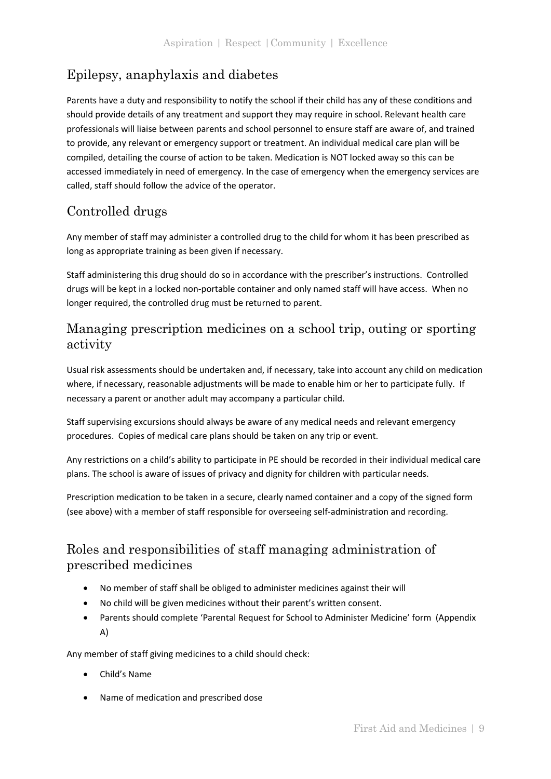# <span id="page-9-0"></span>Epilepsy, anaphylaxis and diabetes

Parents have a duty and responsibility to notify the school if their child has any of these conditions and should provide details of any treatment and support they may require in school. Relevant health care professionals will liaise between parents and school personnel to ensure staff are aware of, and trained to provide, any relevant or emergency support or treatment. An individual medical care plan will be compiled, detailing the course of action to be taken. Medication is NOT locked away so this can be accessed immediately in need of emergency. In the case of emergency when the emergency services are called, staff should follow the advice of the operator.

# <span id="page-9-1"></span>Controlled drugs

Any member of staff may administer a controlled drug to the child for whom it has been prescribed as long as appropriate training as been given if necessary.

Staff administering this drug should do so in accordance with the prescriber's instructions. Controlled drugs will be kept in a locked non-portable container and only named staff will have access. When no longer required, the controlled drug must be returned to parent.

## <span id="page-9-2"></span>Managing prescription medicines on a school trip, outing or sporting activity

Usual risk assessments should be undertaken and, if necessary, take into account any child on medication where, if necessary, reasonable adjustments will be made to enable him or her to participate fully. If necessary a parent or another adult may accompany a particular child.

Staff supervising excursions should always be aware of any medical needs and relevant emergency procedures. Copies of medical care plans should be taken on any trip or event.

Any restrictions on a child's ability to participate in PE should be recorded in their individual medical care plans. The school is aware of issues of privacy and dignity for children with particular needs.

Prescription medication to be taken in a secure, clearly named container and a copy of the signed form (see above) with a member of staff responsible for overseeing self-administration and recording.

# <span id="page-9-3"></span>Roles and responsibilities of staff managing administration of prescribed medicines

- No member of staff shall be obliged to administer medicines against their will
- No child will be given medicines without their parent's written consent.
- Parents should complete 'Parental Request for School to Administer Medicine' form (Appendix A)

Any member of staff giving medicines to a child should check:

- Child's Name
- Name of medication and prescribed dose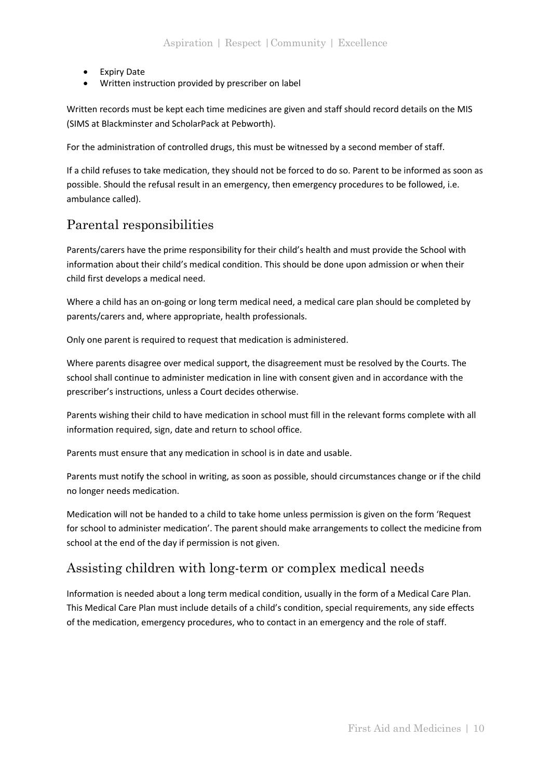- Expiry Date
- Written instruction provided by prescriber on label

Written records must be kept each time medicines are given and staff should record details on the MIS (SIMS at Blackminster and ScholarPack at Pebworth).

For the administration of controlled drugs, this must be witnessed by a second member of staff.

If a child refuses to take medication, they should not be forced to do so. Parent to be informed as soon as possible. Should the refusal result in an emergency, then emergency procedures to be followed, i.e. ambulance called).

## <span id="page-10-0"></span>Parental responsibilities

Parents/carers have the prime responsibility for their child's health and must provide the School with information about their child's medical condition. This should be done upon admission or when their child first develops a medical need.

Where a child has an on-going or long term medical need, a medical care plan should be completed by parents/carers and, where appropriate, health professionals.

Only one parent is required to request that medication is administered.

Where parents disagree over medical support, the disagreement must be resolved by the Courts. The school shall continue to administer medication in line with consent given and in accordance with the prescriber's instructions, unless a Court decides otherwise.

Parents wishing their child to have medication in school must fill in the relevant forms complete with all information required, sign, date and return to school office.

Parents must ensure that any medication in school is in date and usable.

Parents must notify the school in writing, as soon as possible, should circumstances change or if the child no longer needs medication.

Medication will not be handed to a child to take home unless permission is given on the form 'Request for school to administer medication'. The parent should make arrangements to collect the medicine from school at the end of the day if permission is not given.

#### <span id="page-10-1"></span>Assisting children with long-term or complex medical needs

Information is needed about a long term medical condition, usually in the form of a Medical Care Plan. This Medical Care Plan must include details of a child's condition, special requirements, any side effects of the medication, emergency procedures, who to contact in an emergency and the role of staff.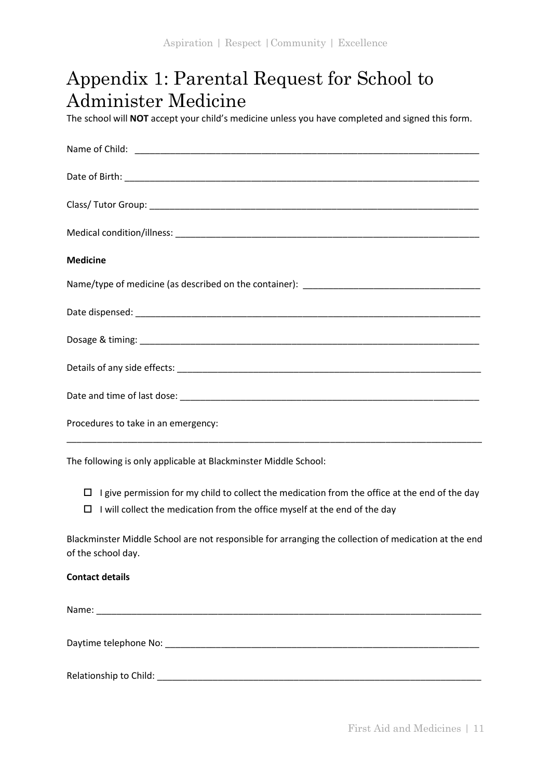# <span id="page-11-0"></span>Appendix 1: Parental Request for School to Administer Medicine

The school will **NOT** accept your child's medicine unless you have completed and signed this form.

| <b>Medicine</b>                     |
|-------------------------------------|
|                                     |
|                                     |
|                                     |
|                                     |
|                                     |
| Procedures to take in an emergency: |

The following is only applicable at Blackminster Middle School:

 $\Box$  I give permission for my child to collect the medication from the office at the end of the day

 $\Box$  I will collect the medication from the office myself at the end of the day

Blackminster Middle School are not responsible for arranging the collection of medication at the end of the school day.

#### **Contact details**

Name: \_\_\_\_\_\_\_\_\_\_\_\_\_\_\_\_\_\_\_\_\_\_\_\_\_\_\_\_\_\_\_\_\_\_\_\_\_\_\_\_\_\_\_\_\_\_\_\_\_\_\_\_\_\_\_\_\_\_\_\_\_\_\_\_\_\_\_\_\_\_\_\_\_\_\_\_

Daytime telephone No:

Relationship to Child:  $\Box$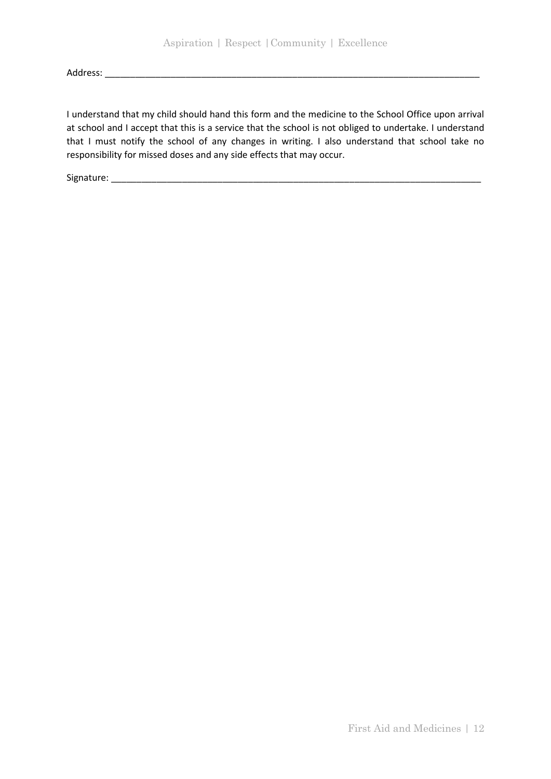Address: \_\_\_\_\_\_\_\_\_\_\_\_\_\_\_\_\_\_\_\_\_\_\_\_\_\_\_\_\_\_\_\_\_\_\_\_\_\_\_\_\_\_\_\_\_\_\_\_\_\_\_\_\_\_\_\_\_\_\_\_\_\_\_\_\_\_\_\_\_\_\_\_\_\_

I understand that my child should hand this form and the medicine to the School Office upon arrival at school and I accept that this is a service that the school is not obliged to undertake. I understand that I must notify the school of any changes in writing. I also understand that school take no responsibility for missed doses and any side effects that may occur.

Signature: \_\_\_\_\_\_\_\_\_\_\_\_\_\_\_\_\_\_\_\_\_\_\_\_\_\_\_\_\_\_\_\_\_\_\_\_\_\_\_\_\_\_\_\_\_\_\_\_\_\_\_\_\_\_\_\_\_\_\_\_\_\_\_\_\_\_\_\_\_\_\_\_\_